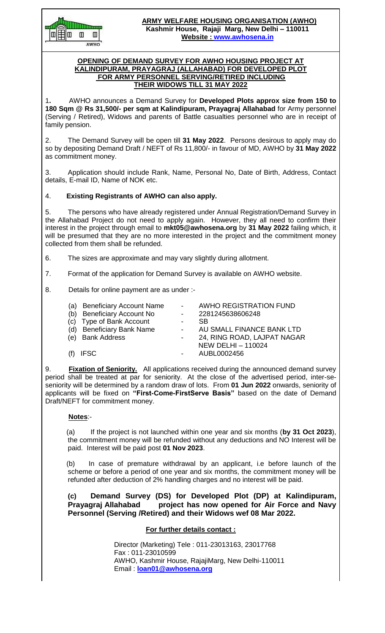IIIIIIIII  $\square$ m **AWHO** 

**OPENING OF DEMAND SURVEY FOR AWHO HOUSING PROJECT AT KALINDIPURAM, PRAYAGRAJ (ALLAHABAD) FOR DEVELOPED PLOT FOR ARMY PERSONNEL SERVING/RETIRED INCLUDING THEIR WIDOWS TILL 31 MAY 2022**

1**.** AWHO announces a Demand Survey for **Developed Plots approx size from 150 to 180 Sqm @ Rs 31,500/- per sqm at Kalindipuram, Prayagraj Allahabad** for Army personnel (Serving / Retired), Widows and parents of Battle casualties personnel who are in receipt of family pension.

2. The Demand Survey will be open till **31 May 2022**. Persons desirous to apply may do so by depositing Demand Draft / NEFT of Rs 11,800/- in favour of MD, AWHO by **31 May 2022** as commitment money.

3. Application should include Rank, Name, Personal No, Date of Birth, Address, Contact details, E-mail ID, Name of NOK etc.

## 4. **Existing Registrants of AWHO can also apply.**

5. The persons who have already registered under Annual Registration/Demand Survey in the Allahabad Project do not need to apply again. However, they all need to confirm their interest in the project through email to **mkt05@awhosena.org** by **31 May 2022** failing which, it will be presumed that they are no more interested in the project and the commitment money collected from them shall be refunded.

6. The sizes are approximate and may vary slightly during allotment.

7. Format of the application for Demand Survey is available on AWHO website.

8. Details for online payment are as under :-

|     | (a) Beneficiary Account Name  | AWHO REGISTRATION FUND      |
|-----|-------------------------------|-----------------------------|
| (b) | <b>Beneficiary Account No</b> | 2281245638606248            |
|     | (c) Type of Bank Account      | SB.                         |
| (d) | <b>Beneficiary Bank Name</b>  | AU SMALL FINANCE BANK LTD   |
|     | (e) Bank Address              | 24, RING ROAD, LAJPAT NAGAR |
|     |                               | <b>NEW DELHI - 110024</b>   |
|     | <b>IFSC</b>                   | AUBL0002456                 |
|     |                               |                             |

9. **Fixation of Seniority.** All applications received during the announced demand survey period shall be treated at par for seniority. At the close of the advertised period, inter-seseniority will be determined by a random draw of lots. From **01 Jun 2022** onwards, seniority of applicants will be fixed on **"First-Come-FirstServe Basis"** based on the date of Demand Draft/NEFT for commitment money.

## **Notes**:-

 (a) If the project is not launched within one year and six months (**by 31 Oct 2023**), the commitment money will be refunded without any deductions and NO Interest will be paid. Interest will be paid post **01 Nov 2023**.

 (b) In case of premature withdrawal by an applicant, i.e before launch of the scheme or before a period of one year and six months, the commitment money will be refunded after deduction of 2% handling charges and no interest will be paid.

**(c) Demand Survey (DS) for Developed Plot (DP) at Kalindipuram, Prayagraj Allahabad project has now opened for Air Force and Navy Personnel (Serving /Retired) and their Widows wef 08 Mar 2022.** 

## **For further details contact :**

Director (Marketing) Tele : 011-23013163, 23017768 Fax : 011-23010599 AWHO, Kashmir House, RajajiMarg, New Delhi-110011 Email : **[loan01@awhosena.org](mailto:loan01@awhosena.org)**